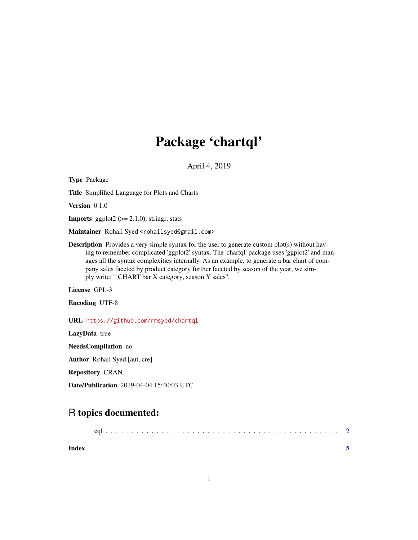## Package 'chartql'

April 4, 2019

Type Package Title Simplified Language for Plots and Charts Version 0.1.0 **Imports** ggplot2  $(>= 2.1.0)$ , stringr, stats Maintainer Rohail Syed <rohailsyed@gmail.com> **Description** Provides a very simple syntax for the user to generate custom plot(s) without having to remember complicated 'ggplot2' syntax. The 'chartql' package uses 'ggplot2' and manages all the syntax complexities internally. As an example, to generate a bar chart of company sales faceted by product category further faceted by season of the year, we simply write: ``CHART bar X category, season Y sales''. License GPL-3 Encoding UTF-8 URL <https://github.com/rmsyed/chartql> LazyData true NeedsCompilation no Author Rohail Syed [aut, cre] Repository CRAN

Date/Publication 2019-04-04 15:40:03 UTC

### R topics documented:

| Index |  |  |  |  |  |  |  |  |  |  |  |  |  |  |  |  |  |
|-------|--|--|--|--|--|--|--|--|--|--|--|--|--|--|--|--|--|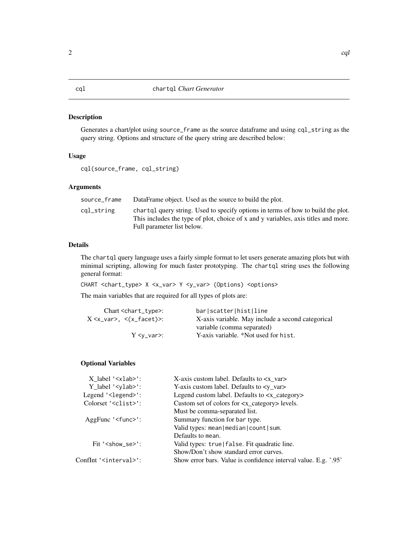#### <span id="page-1-0"></span>Description

Generates a chart/plot using source\_frame as the source dataframe and using cql\_string as the query string. Options and structure of the query string are described below:

#### Usage

```
cql(source_frame, cql_string)
```
#### Arguments

| source_frame | DataFrame object. Used as the source to build the plot.                                                                                                                                              |
|--------------|------------------------------------------------------------------------------------------------------------------------------------------------------------------------------------------------------|
| cgl_string   | chart q query string. Used to specify options in terms of how to build the plot.<br>This includes the type of plot, choice of x and y variables, axis titles and more.<br>Full parameter list below. |

#### Details

The chartql query language uses a fairly simple format to let users generate amazing plots but with minimal scripting, allowing for much faster prototyping. The chartql string uses the following general format:

CHART <chart\_type> X <x\_var> Y <y\_var> (Options) <options>

The main variables that are required for all types of plots are:

| $Chart <$ chart_type>:                      | barlscatterlhistlline                             |
|---------------------------------------------|---------------------------------------------------|
| $\rm X$ <x_var>, &lt;(x_facet)&gt;:</x_var> | X-axis variable. May include a second categorical |
|                                             | variable (comma separated)                        |
| $Y \leq v$ var $\geq$ :                     | Y-axis variable. *Not used for hist.              |
|                                             |                                                   |

#### Optional Variables

| $X$ label ' $\langle x \rangle$ lab>':                   | X-axis custom label. Defaults to $\langle x_{\text{max}} \rangle$ |
|----------------------------------------------------------|-------------------------------------------------------------------|
| $Y$ <sup>label</sup> '< $y$ lab>':                       | Y-axis custom label. Defaults to $$                               |
| Legend $\text{'<}$ legend $\text{'<}$ :                  | Legend custom label. Defaults to <x_category></x_category>        |
| Colorset ' <clist>':</clist>                             | Custom set of colors for $\langle x \rangle$ category levels.     |
|                                                          | Must be comma-separated list.                                     |
| $AggFunc \text{ 'func'}$ :                               | Summary function for bar type.                                    |
|                                                          | Valid types: mean   median   count   sum.                         |
|                                                          | Defaults to mean.                                                 |
| Fit $\text{K}$ / $\text{K}$ / $\text{K}$ se $\text{K}$ : | Valid types: true   false. Fit quadratic line.                    |
|                                                          | Show/Don't show standard error curves.                            |
| ConfInt ' <interval>':</interval>                        | Show error bars. Value is confidence interval value. E.g. '.95'   |
|                                                          |                                                                   |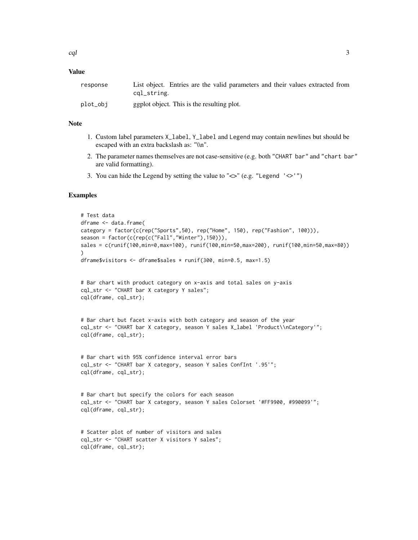#### Value

| response | List object. Entries are the valid parameters and their values extracted from |
|----------|-------------------------------------------------------------------------------|
|          | cql_string.                                                                   |
| plot_obi | ggplot object. This is the resulting plot.                                    |

#### Note

- 1. Custom label parameters X\_label, Y\_label and Legend may contain newlines but should be escaped with an extra backslash as: "\\n".
- 2. The parameter names themselves are not case-sensitive (e.g. both "CHART bar" and "chart bar" are valid formatting).
- 3. You can hide the Legend by setting the value to " $\ll$ " (e.g. "Legend ' $\ll$ '")

#### Examples

```
# Test data
dframe <- data.frame(
category = factor(c(rep("Sports",50), rep("Home", 150), rep("Fashion", 100))),
season = factor(c(rep(c("Fall","Winter"),150))),
sales = c(runif(100,min=0,max=100), runif(100,min=50,max=200), runif(100,min=50,max=80))
\lambdadframe$visitors <- dframe$sales * runif(300, min=0.5, max=1.5)
# Bar chart with product category on x-axis and total sales on y-axis
cql_str <- "CHART bar X category Y sales";
cql(dframe, cql_str);
# Bar chart but facet x-axis with both category and season of the year
cql_str <- "CHART bar X category, season Y sales X_label 'Product\\nCategory'";
cql(dframe, cql_str);
# Bar chart with 95% confidence interval error bars
cql_str <- "CHART bar X category, season Y sales ConfInt '.95'";
cql(dframe, cql_str);
# Bar chart but specify the colors for each season
cql_str <- "CHART bar X category, season Y sales Colorset '#FF9900, #990099'";
cql(dframe, cql_str);
# Scatter plot of number of visitors and sales
cql_str <- "CHART scatter X visitors Y sales";
```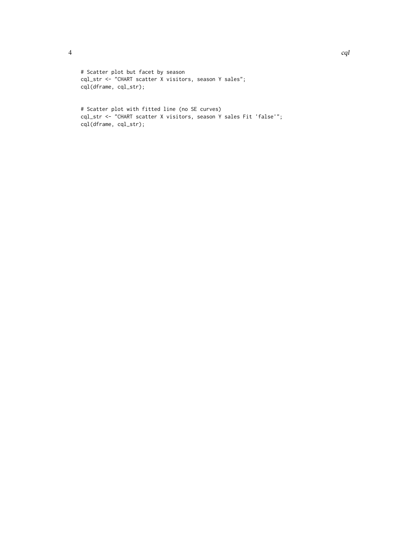```
# Scatter plot but facet by season
cql_str <- "CHART scatter X visitors, season Y sales";
cql(dframe, cql_str);
```

```
# Scatter plot with fitted line (no SE curves)
cql_str <- "CHART scatter X visitors, season Y sales Fit 'false'";
cql(dframe, cql_str);
```